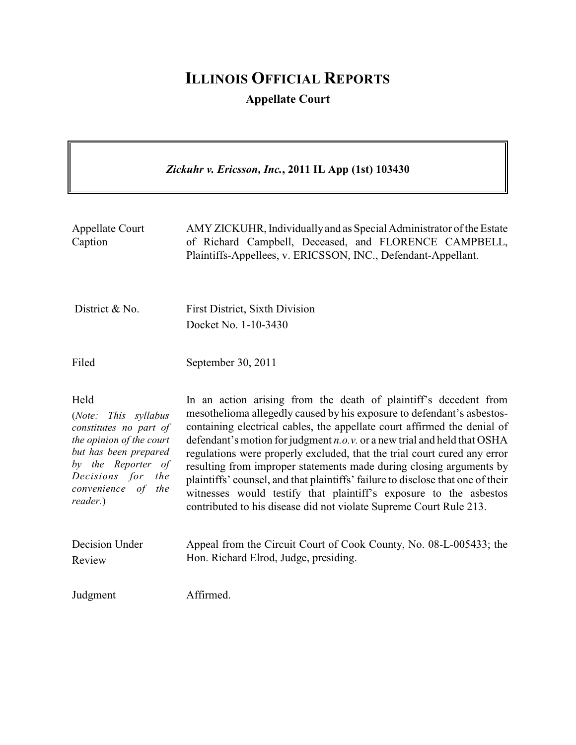# **ILLINOIS OFFICIAL REPORTS Appellate Court**

| Zickuhr v. Ericsson, Inc., 2011 IL App (1st) 103430                                                                                                                                               |                                                                                                                                                                                                                                                                                                                                                                                                                                                                                                                                                                                                                                                                                       |  |
|---------------------------------------------------------------------------------------------------------------------------------------------------------------------------------------------------|---------------------------------------------------------------------------------------------------------------------------------------------------------------------------------------------------------------------------------------------------------------------------------------------------------------------------------------------------------------------------------------------------------------------------------------------------------------------------------------------------------------------------------------------------------------------------------------------------------------------------------------------------------------------------------------|--|
| <b>Appellate Court</b><br>Caption                                                                                                                                                                 | AMY ZICKUHR, Individually and as Special Administrator of the Estate<br>of Richard Campbell, Deceased, and FLORENCE CAMPBELL,<br>Plaintiffs-Appellees, v. ERICSSON, INC., Defendant-Appellant.                                                                                                                                                                                                                                                                                                                                                                                                                                                                                        |  |
| District & No.                                                                                                                                                                                    | <b>First District, Sixth Division</b><br>Docket No. 1-10-3430                                                                                                                                                                                                                                                                                                                                                                                                                                                                                                                                                                                                                         |  |
| Filed                                                                                                                                                                                             | September 30, 2011                                                                                                                                                                                                                                                                                                                                                                                                                                                                                                                                                                                                                                                                    |  |
| Held<br>(Note:<br>This syllabus<br>constitutes no part of<br>the opinion of the court<br>but has been prepared<br>by the Reporter of<br>Decisions for<br>the<br>convenience of<br>the<br>reader.) | In an action arising from the death of plaintiff's decedent from<br>mesothelioma allegedly caused by his exposure to defendant's asbestos-<br>containing electrical cables, the appellate court affirmed the denial of<br>defendant's motion for judgment $n.o.v.$ or a new trial and held that OSHA<br>regulations were properly excluded, that the trial court cured any error<br>resulting from improper statements made during closing arguments by<br>plaintiffs' counsel, and that plaintiffs' failure to disclose that one of their<br>witnesses would testify that plaintiff's exposure to the asbestos<br>contributed to his disease did not violate Supreme Court Rule 213. |  |
| Decision Under<br>Review                                                                                                                                                                          | Appeal from the Circuit Court of Cook County, No. 08-L-005433; the<br>Hon. Richard Elrod, Judge, presiding.                                                                                                                                                                                                                                                                                                                                                                                                                                                                                                                                                                           |  |
| Judgment                                                                                                                                                                                          | Affirmed.                                                                                                                                                                                                                                                                                                                                                                                                                                                                                                                                                                                                                                                                             |  |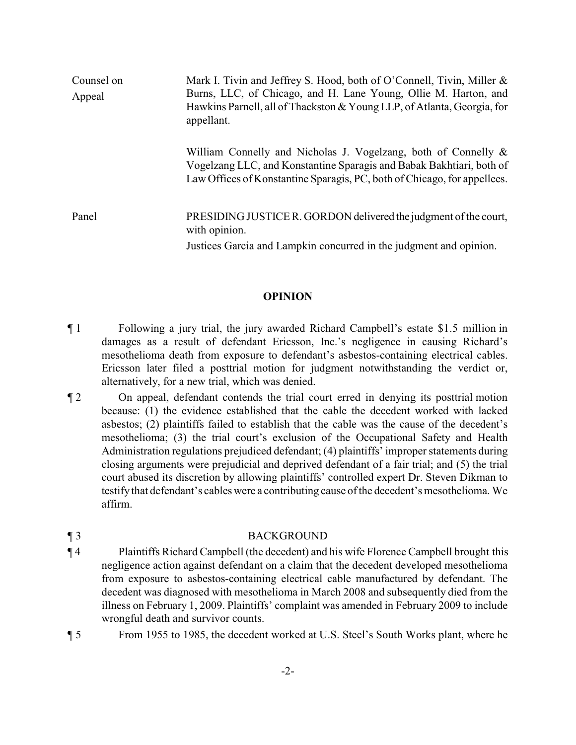| Counsel on<br>Appeal | Mark I. Tivin and Jeffrey S. Hood, both of O'Connell, Tivin, Miller &<br>Burns, LLC, of Chicago, and H. Lane Young, Ollie M. Harton, and<br>Hawkins Parnell, all of Thackston & Young LLP, of Atlanta, Georgia, for<br>appellant. |
|----------------------|-----------------------------------------------------------------------------------------------------------------------------------------------------------------------------------------------------------------------------------|
|                      | William Connelly and Nicholas J. Vogelzang, both of Connelly $\&$<br>Vogelzang LLC, and Konstantine Sparagis and Babak Bakhtiari, both of<br>Law Offices of Konstantine Sparagis, PC, both of Chicago, for appellees.             |
| Panel                | PRESIDING JUSTICE R. GORDON delivered the judgment of the court,<br>with opinion.<br>Justices Garcia and Lampkin concurred in the judgment and opinion.                                                                           |

#### **OPINION**

- ¶ 1 Following a jury trial, the jury awarded Richard Campbell's estate \$1.5 million in damages as a result of defendant Ericsson, Inc.'s negligence in causing Richard's mesothelioma death from exposure to defendant's asbestos-containing electrical cables. Ericsson later filed a posttrial motion for judgment notwithstanding the verdict or, alternatively, for a new trial, which was denied.
- ¶ 2 On appeal, defendant contends the trial court erred in denying its posttrial motion because: (1) the evidence established that the cable the decedent worked with lacked asbestos; (2) plaintiffs failed to establish that the cable was the cause of the decedent's mesothelioma; (3) the trial court's exclusion of the Occupational Safety and Health Administration regulations prejudiced defendant; (4) plaintiffs' improper statements during closing arguments were prejudicial and deprived defendant of a fair trial; and (5) the trial court abused its discretion by allowing plaintiffs' controlled expert Dr. Steven Dikman to testify that defendant's cables were a contributing cause of the decedent's mesothelioma. We affirm.

### ¶ 3 BACKGROUND

- ¶ 4 Plaintiffs Richard Campbell (the decedent) and his wife Florence Campbell brought this negligence action against defendant on a claim that the decedent developed mesothelioma from exposure to asbestos-containing electrical cable manufactured by defendant. The decedent was diagnosed with mesothelioma in March 2008 and subsequently died from the illness on February 1, 2009. Plaintiffs' complaint was amended in February 2009 to include wrongful death and survivor counts.
- ¶ 5 From 1955 to 1985, the decedent worked at U.S. Steel's South Works plant, where he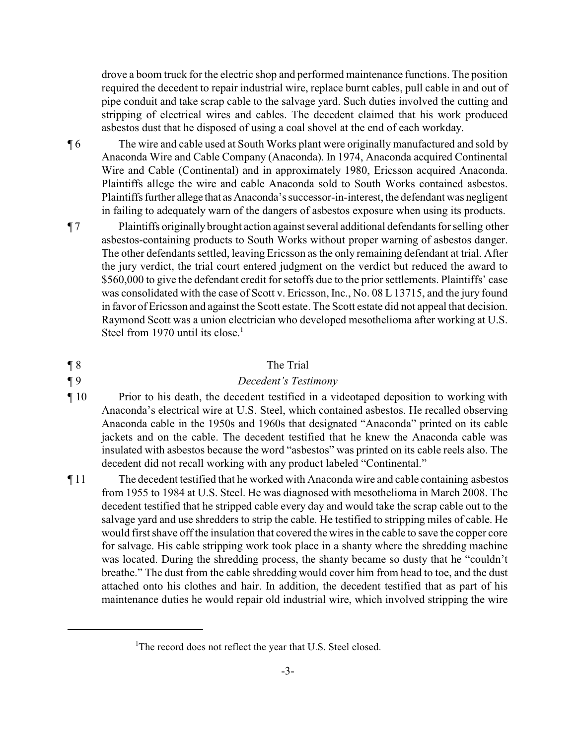drove a boom truck for the electric shop and performed maintenance functions. The position required the decedent to repair industrial wire, replace burnt cables, pull cable in and out of pipe conduit and take scrap cable to the salvage yard. Such duties involved the cutting and stripping of electrical wires and cables. The decedent claimed that his work produced asbestos dust that he disposed of using a coal shovel at the end of each workday.

¶ 6 The wire and cable used at South Works plant were originally manufactured and sold by Anaconda Wire and Cable Company (Anaconda). In 1974, Anaconda acquired Continental Wire and Cable (Continental) and in approximately 1980, Ericsson acquired Anaconda. Plaintiffs allege the wire and cable Anaconda sold to South Works contained asbestos. Plaintiffs further allege that as Anaconda's successor-in-interest, the defendant was negligent in failing to adequately warn of the dangers of asbestos exposure when using its products.

¶ 7 Plaintiffs originally brought action against several additional defendants for selling other asbestos-containing products to South Works without proper warning of asbestos danger. The other defendants settled, leaving Ericsson as the only remaining defendant at trial. After the jury verdict, the trial court entered judgment on the verdict but reduced the award to \$560,000 to give the defendant credit for setoffs due to the prior settlements. Plaintiffs' case was consolidated with the case of Scott v. Ericsson, Inc., No. 08 L 13715, and the jury found in favor of Ericsson and against the Scott estate. The Scott estate did not appeal that decision. Raymond Scott was a union electrician who developed mesothelioma after working at U.S. Steel from 1970 until its close.<sup>1</sup>

#### ¶ 8 The Trial

- ¶ 9 *Decedent's Testimony*
- ¶ 10 Prior to his death, the decedent testified in a videotaped deposition to working with Anaconda's electrical wire at U.S. Steel, which contained asbestos. He recalled observing Anaconda cable in the 1950s and 1960s that designated "Anaconda" printed on its cable jackets and on the cable. The decedent testified that he knew the Anaconda cable was insulated with asbestos because the word "asbestos" was printed on its cable reels also. The decedent did not recall working with any product labeled "Continental."
- ¶ 11 The decedent testified that he worked with Anaconda wire and cable containing asbestos from 1955 to 1984 at U.S. Steel. He was diagnosed with mesothelioma in March 2008. The decedent testified that he stripped cable every day and would take the scrap cable out to the salvage yard and use shredders to strip the cable. He testified to stripping miles of cable. He would first shave off the insulation that covered the wires in the cable to save the copper core for salvage. His cable stripping work took place in a shanty where the shredding machine was located. During the shredding process, the shanty became so dusty that he "couldn't breathe." The dust from the cable shredding would cover him from head to toe, and the dust attached onto his clothes and hair. In addition, the decedent testified that as part of his maintenance duties he would repair old industrial wire, which involved stripping the wire

<sup>&</sup>lt;sup>1</sup>The record does not reflect the year that U.S. Steel closed.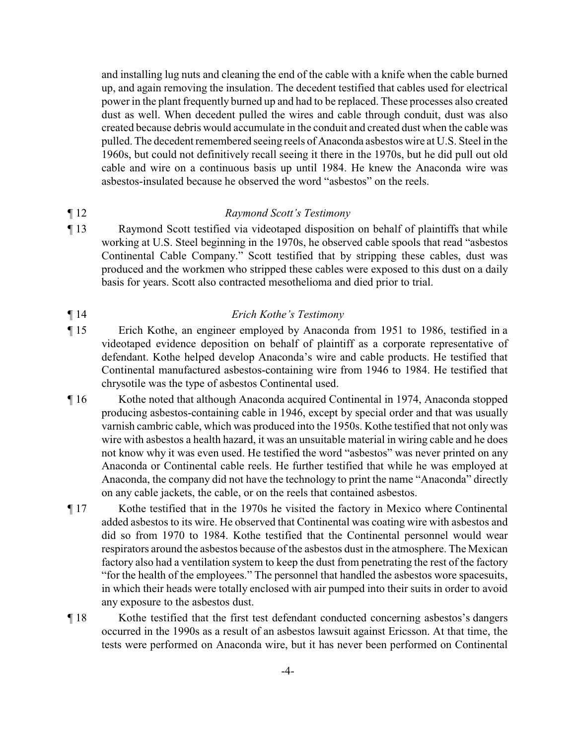and installing lug nuts and cleaning the end of the cable with a knife when the cable burned up, and again removing the insulation. The decedent testified that cables used for electrical power in the plant frequently burned up and had to be replaced. These processes also created dust as well. When decedent pulled the wires and cable through conduit, dust was also created because debris would accumulate in the conduit and created dust when the cable was pulled. The decedent remembered seeing reels of Anaconda asbestos wire at U.S. Steel in the 1960s, but could not definitively recall seeing it there in the 1970s, but he did pull out old cable and wire on a continuous basis up until 1984. He knew the Anaconda wire was asbestos-insulated because he observed the word "asbestos" on the reels.

#### ¶ 12 *Raymond Scott's Testimony*

¶ 13 Raymond Scott testified via videotaped disposition on behalf of plaintiffs that while working at U.S. Steel beginning in the 1970s, he observed cable spools that read "asbestos Continental Cable Company." Scott testified that by stripping these cables, dust was produced and the workmen who stripped these cables were exposed to this dust on a daily basis for years. Scott also contracted mesothelioma and died prior to trial.

#### ¶ 14 *Erich Kothe's Testimony*

- ¶ 15 Erich Kothe, an engineer employed by Anaconda from 1951 to 1986, testified in a videotaped evidence deposition on behalf of plaintiff as a corporate representative of defendant. Kothe helped develop Anaconda's wire and cable products. He testified that Continental manufactured asbestos-containing wire from 1946 to 1984. He testified that chrysotile was the type of asbestos Continental used.
- ¶ 16 Kothe noted that although Anaconda acquired Continental in 1974, Anaconda stopped producing asbestos-containing cable in 1946, except by special order and that was usually varnish cambric cable, which was produced into the 1950s. Kothe testified that not only was wire with asbestos a health hazard, it was an unsuitable material in wiring cable and he does not know why it was even used. He testified the word "asbestos" was never printed on any Anaconda or Continental cable reels. He further testified that while he was employed at Anaconda, the company did not have the technology to print the name "Anaconda" directly on any cable jackets, the cable, or on the reels that contained asbestos.
- ¶ 17 Kothe testified that in the 1970s he visited the factory in Mexico where Continental added asbestos to its wire. He observed that Continental was coating wire with asbestos and did so from 1970 to 1984. Kothe testified that the Continental personnel would wear respirators around the asbestos because of the asbestos dust in the atmosphere. The Mexican factory also had a ventilation system to keep the dust from penetrating the rest of the factory "for the health of the employees." The personnel that handled the asbestos wore spacesuits, in which their heads were totally enclosed with air pumped into their suits in order to avoid any exposure to the asbestos dust.
- ¶ 18 Kothe testified that the first test defendant conducted concerning asbestos's dangers occurred in the 1990s as a result of an asbestos lawsuit against Ericsson. At that time, the tests were performed on Anaconda wire, but it has never been performed on Continental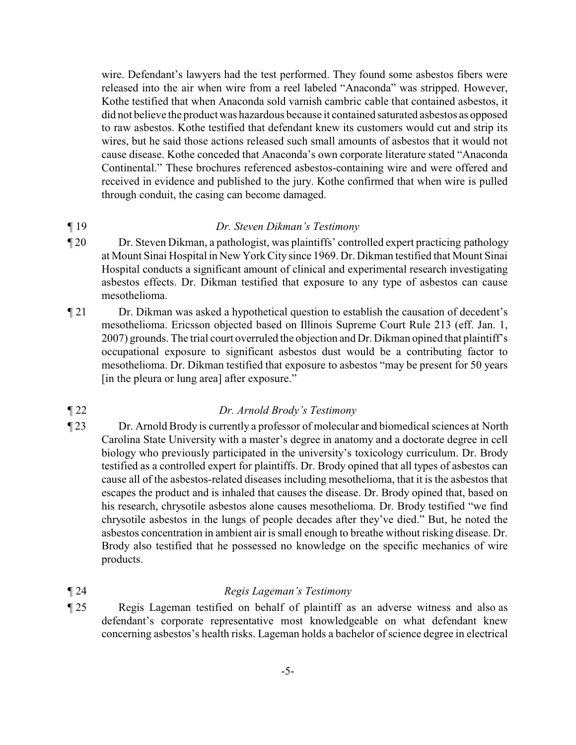wire. Defendant's lawyers had the test performed. They found some asbestos fibers were released into the air when wire from a reel labeled "Anaconda" was stripped. However, Kothe testified that when Anaconda sold varnish cambric cable that contained asbestos, it did not believe the product was hazardous because it contained saturated asbestos as opposed to raw asbestos. Kothe testified that defendant knew its customers would cut and strip its wires, but he said those actions released such small amounts of asbestos that it would not cause disease. Kothe conceded that Anaconda's own corporate literature stated "Anaconda Continental." These brochures referenced asbestos-containing wire and were offered and received in evidence and published to the jury. Kothe confirmed that when wire is pulled through conduit, the casing can become damaged.

### ¶ 19 *Dr. Steven Dikman's Testimony*

- ¶ 20 Dr. Steven Dikman, a pathologist, was plaintiffs' controlled expert practicing pathology at Mount Sinai Hospital in New York City since 1969. Dr. Dikman testified that Mount Sinai Hospital conducts a significant amount of clinical and experimental research investigating asbestos effects. Dr. Dikman testified that exposure to any type of asbestos can cause mesothelioma.
- ¶ 21 Dr. Dikman was asked a hypothetical question to establish the causation of decedent's mesothelioma. Ericsson objected based on Illinois Supreme Court Rule 213 (eff. Jan. 1, 2007) grounds. The trial court overruled the objection and Dr. Dikman opined that plaintiff's occupational exposure to significant asbestos dust would be a contributing factor to mesothelioma. Dr. Dikman testified that exposure to asbestos "may be present for 50 years [in the pleura or lung area] after exposure."

## ¶ 22 *Dr. Arnold Brody's Testimony*

¶ 23 Dr. Arnold Brody is currently a professor of molecular and biomedical sciences at North Carolina State University with a master's degree in anatomy and a doctorate degree in cell biology who previously participated in the university's toxicology curriculum. Dr. Brody testified as a controlled expert for plaintiffs. Dr. Brody opined that all types of asbestos can cause all of the asbestos-related diseases including mesothelioma, that it is the asbestos that escapes the product and is inhaled that causes the disease. Dr. Brody opined that, based on his research, chrysotile asbestos alone causes mesothelioma. Dr. Brody testified "we find chrysotile asbestos in the lungs of people decades after they've died." But, he noted the asbestos concentration in ambient air is small enough to breathe without risking disease. Dr. Brody also testified that he possessed no knowledge on the specific mechanics of wire products.

## ¶ 24 *Regis Lageman's Testimony*

¶ 25 Regis Lageman testified on behalf of plaintiff as an adverse witness and also as defendant's corporate representative most knowledgeable on what defendant knew concerning asbestos's health risks. Lageman holds a bachelor of science degree in electrical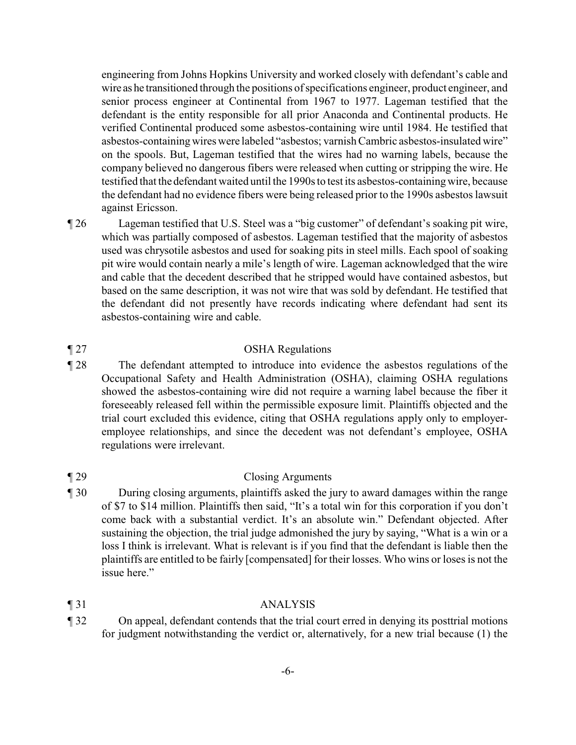engineering from Johns Hopkins University and worked closely with defendant's cable and wire as he transitioned through the positions of specifications engineer, product engineer, and senior process engineer at Continental from 1967 to 1977. Lageman testified that the defendant is the entity responsible for all prior Anaconda and Continental products. He verified Continental produced some asbestos-containing wire until 1984. He testified that asbestos-containing wires were labeled "asbestos; varnish Cambric asbestos-insulated wire" on the spools. But, Lageman testified that the wires had no warning labels, because the company believed no dangerous fibers were released when cutting or stripping the wire. He testified that the defendant waited until the 1990s to test its asbestos-containing wire, because the defendant had no evidence fibers were being released prior to the 1990s asbestos lawsuit against Ericsson.

¶ 26 Lageman testified that U.S. Steel was a "big customer" of defendant's soaking pit wire, which was partially composed of asbestos. Lageman testified that the majority of asbestos used was chrysotile asbestos and used for soaking pits in steel mills. Each spool of soaking pit wire would contain nearly a mile's length of wire. Lageman acknowledged that the wire and cable that the decedent described that he stripped would have contained asbestos, but based on the same description, it was not wire that was sold by defendant. He testified that the defendant did not presently have records indicating where defendant had sent its asbestos-containing wire and cable.

#### ¶ 27 OSHA Regulations

¶ 28 The defendant attempted to introduce into evidence the asbestos regulations of the Occupational Safety and Health Administration (OSHA), claiming OSHA regulations showed the asbestos-containing wire did not require a warning label because the fiber it foreseeably released fell within the permissible exposure limit. Plaintiffs objected and the trial court excluded this evidence, citing that OSHA regulations apply only to employeremployee relationships, and since the decedent was not defendant's employee, OSHA regulations were irrelevant.

#### ¶ 29 Closing Arguments

¶ 30 During closing arguments, plaintiffs asked the jury to award damages within the range of \$7 to \$14 million. Plaintiffs then said, "It's a total win for this corporation if you don't come back with a substantial verdict. It's an absolute win." Defendant objected. After sustaining the objection, the trial judge admonished the jury by saying, "What is a win or a loss I think is irrelevant. What is relevant is if you find that the defendant is liable then the plaintiffs are entitled to be fairly [compensated] for their losses. Who wins or loses is not the issue here."

#### ¶ 31 ANALYSIS

¶ 32 On appeal, defendant contends that the trial court erred in denying its posttrial motions for judgment notwithstanding the verdict or, alternatively, for a new trial because (1) the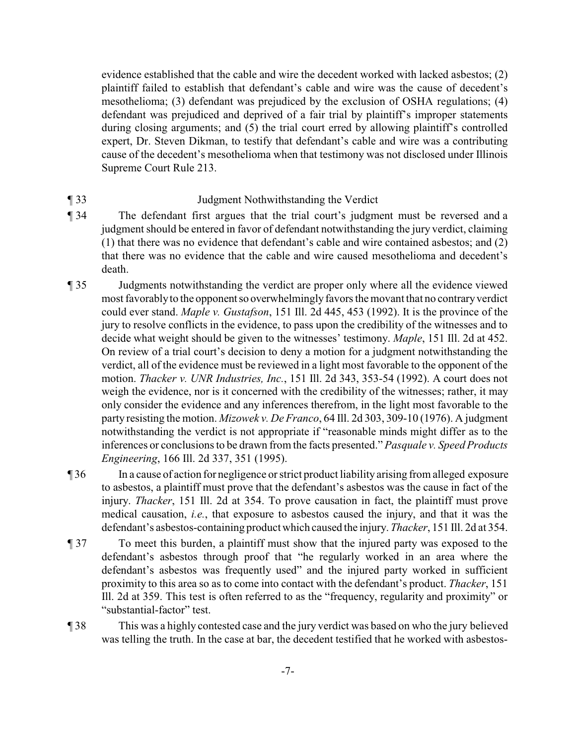evidence established that the cable and wire the decedent worked with lacked asbestos; (2) plaintiff failed to establish that defendant's cable and wire was the cause of decedent's mesothelioma; (3) defendant was prejudiced by the exclusion of OSHA regulations; (4) defendant was prejudiced and deprived of a fair trial by plaintiff's improper statements during closing arguments; and (5) the trial court erred by allowing plaintiff's controlled expert, Dr. Steven Dikman, to testify that defendant's cable and wire was a contributing cause of the decedent's mesothelioma when that testimony was not disclosed under Illinois Supreme Court Rule 213.

### ¶ 33 Judgment Nothwithstanding the Verdict

- ¶ 34 The defendant first argues that the trial court's judgment must be reversed and a judgment should be entered in favor of defendant notwithstanding the jury verdict, claiming (1) that there was no evidence that defendant's cable and wire contained asbestos; and (2) that there was no evidence that the cable and wire caused mesothelioma and decedent's death.
- ¶ 35 Judgments notwithstanding the verdict are proper only where all the evidence viewed most favorably to the opponent so overwhelmingly favors the movant that no contrary verdict could ever stand. *Maple v. Gustafson*, 151 Ill. 2d 445, 453 (1992). It is the province of the jury to resolve conflicts in the evidence, to pass upon the credibility of the witnesses and to decide what weight should be given to the witnesses' testimony. *Maple*, 151 Ill. 2d at 452. On review of a trial court's decision to deny a motion for a judgment notwithstanding the verdict, all of the evidence must be reviewed in a light most favorable to the opponent of the motion. *Thacker v. UNR Industries, Inc.*, 151 Ill. 2d 343, 353-54 (1992). A court does not weigh the evidence, nor is it concerned with the credibility of the witnesses; rather, it may only consider the evidence and any inferences therefrom, in the light most favorable to the party resisting the motion. *Mizowek v. De Franco*, 64 Ill. 2d 303, 309-10 (1976). A judgment notwithstanding the verdict is not appropriate if "reasonable minds might differ as to the inferences or conclusions to be drawn from the facts presented." *Pasquale v. Speed Products Engineering*, 166 Ill. 2d 337, 351 (1995).

¶ 36 In a cause of action for negligence or strict product liability arising from alleged exposure to asbestos, a plaintiff must prove that the defendant's asbestos was the cause in fact of the injury. *Thacker*, 151 Ill. 2d at 354. To prove causation in fact, the plaintiff must prove medical causation, *i.e.*, that exposure to asbestos caused the injury, and that it was the defendant's asbestos-containing product which caused the injury. *Thacker*, 151 Ill. 2d at 354.

- ¶ 37 To meet this burden, a plaintiff must show that the injured party was exposed to the defendant's asbestos through proof that "he regularly worked in an area where the defendant's asbestos was frequently used" and the injured party worked in sufficient proximity to this area so as to come into contact with the defendant's product. *Thacker*, 151 Ill. 2d at 359. This test is often referred to as the "frequency, regularity and proximity" or "substantial-factor" test.
- ¶ 38 This was a highly contested case and the jury verdict was based on who the jury believed was telling the truth. In the case at bar, the decedent testified that he worked with asbestos-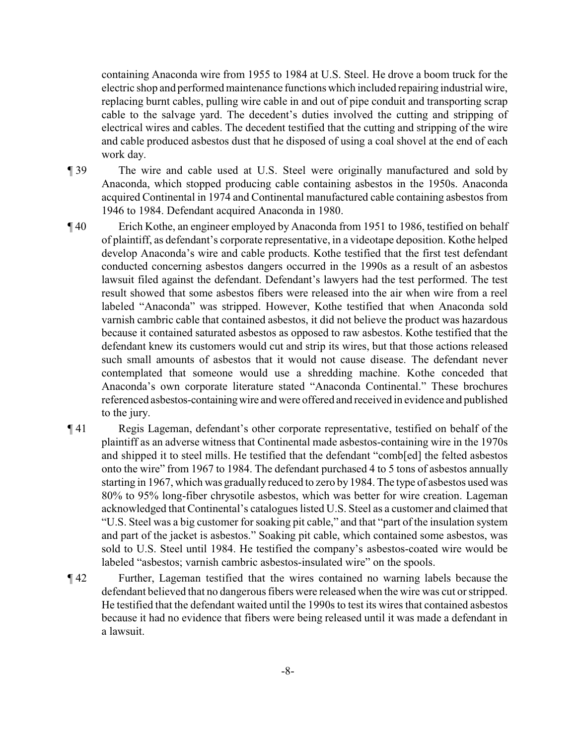containing Anaconda wire from 1955 to 1984 at U.S. Steel. He drove a boom truck for the electric shop and performed maintenance functions which included repairing industrial wire, replacing burnt cables, pulling wire cable in and out of pipe conduit and transporting scrap cable to the salvage yard. The decedent's duties involved the cutting and stripping of electrical wires and cables. The decedent testified that the cutting and stripping of the wire and cable produced asbestos dust that he disposed of using a coal shovel at the end of each work day.

- ¶ 39 The wire and cable used at U.S. Steel were originally manufactured and sold by Anaconda, which stopped producing cable containing asbestos in the 1950s. Anaconda acquired Continental in 1974 and Continental manufactured cable containing asbestos from 1946 to 1984. Defendant acquired Anaconda in 1980.
- ¶ 40 Erich Kothe, an engineer employed by Anaconda from 1951 to 1986, testified on behalf of plaintiff, as defendant's corporate representative, in a videotape deposition. Kothe helped develop Anaconda's wire and cable products. Kothe testified that the first test defendant conducted concerning asbestos dangers occurred in the 1990s as a result of an asbestos lawsuit filed against the defendant. Defendant's lawyers had the test performed. The test result showed that some asbestos fibers were released into the air when wire from a reel labeled "Anaconda" was stripped. However, Kothe testified that when Anaconda sold varnish cambric cable that contained asbestos, it did not believe the product was hazardous because it contained saturated asbestos as opposed to raw asbestos. Kothe testified that the defendant knew its customers would cut and strip its wires, but that those actions released such small amounts of asbestos that it would not cause disease. The defendant never contemplated that someone would use a shredding machine. Kothe conceded that Anaconda's own corporate literature stated "Anaconda Continental." These brochures referenced asbestos-containingwire and were offered and received in evidence and published to the jury.
- ¶ 41 Regis Lageman, defendant's other corporate representative, testified on behalf of the plaintiff as an adverse witness that Continental made asbestos-containing wire in the 1970s and shipped it to steel mills. He testified that the defendant "comb[ed] the felted asbestos onto the wire" from 1967 to 1984. The defendant purchased 4 to 5 tons of asbestos annually starting in 1967, which was gradually reduced to zero by 1984. The type of asbestos used was 80% to 95% long-fiber chrysotile asbestos, which was better for wire creation. Lageman acknowledged that Continental's catalogues listed U.S. Steel as a customer and claimed that "U.S. Steel was a big customer for soaking pit cable," and that "part of the insulation system and part of the jacket is asbestos." Soaking pit cable, which contained some asbestos, was sold to U.S. Steel until 1984. He testified the company's asbestos-coated wire would be labeled "asbestos; varnish cambric asbestos-insulated wire" on the spools.
- ¶ 42 Further, Lageman testified that the wires contained no warning labels because the defendant believed that no dangerous fibers were released when the wire was cut or stripped. He testified that the defendant waited until the 1990s to test its wires that contained asbestos because it had no evidence that fibers were being released until it was made a defendant in a lawsuit.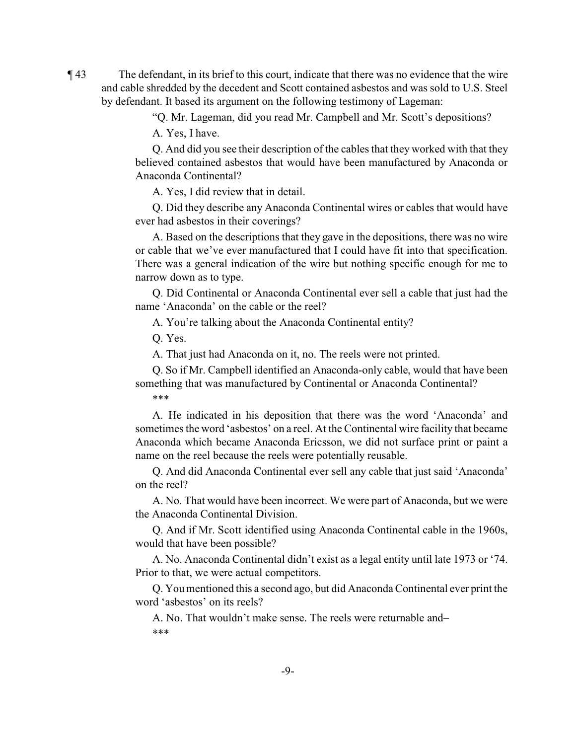¶ 43 The defendant, in its brief to this court, indicate that there was no evidence that the wire and cable shredded by the decedent and Scott contained asbestos and was sold to U.S. Steel by defendant. It based its argument on the following testimony of Lageman:

"Q. Mr. Lageman, did you read Mr. Campbell and Mr. Scott's depositions?

A. Yes, I have.

Q. And did you see their description of the cables that they worked with that they believed contained asbestos that would have been manufactured by Anaconda or Anaconda Continental?

A. Yes, I did review that in detail.

Q. Did they describe any Anaconda Continental wires or cables that would have ever had asbestos in their coverings?

A. Based on the descriptions that they gave in the depositions, there was no wire or cable that we've ever manufactured that I could have fit into that specification. There was a general indication of the wire but nothing specific enough for me to narrow down as to type.

Q. Did Continental or Anaconda Continental ever sell a cable that just had the name 'Anaconda' on the cable or the reel?

A. You're talking about the Anaconda Continental entity?

Q. Yes.

A. That just had Anaconda on it, no. The reels were not printed.

Q. So if Mr. Campbell identified an Anaconda-only cable, would that have been something that was manufactured by Continental or Anaconda Continental? \*\*\*

A. He indicated in his deposition that there was the word 'Anaconda' and sometimes the word 'asbestos' on a reel. At the Continental wire facility that became Anaconda which became Anaconda Ericsson, we did not surface print or paint a name on the reel because the reels were potentially reusable.

Q. And did Anaconda Continental ever sell any cable that just said 'Anaconda' on the reel?

A. No. That would have been incorrect. We were part of Anaconda, but we were the Anaconda Continental Division.

Q. And if Mr. Scott identified using Anaconda Continental cable in the 1960s, would that have been possible?

A. No. Anaconda Continental didn't exist as a legal entity until late 1973 or '74. Prior to that, we were actual competitors.

Q. You mentioned this a second ago, but did Anaconda Continental ever print the word 'asbestos' on its reels?

A. No. That wouldn't make sense. The reels were returnable and– \*\*\*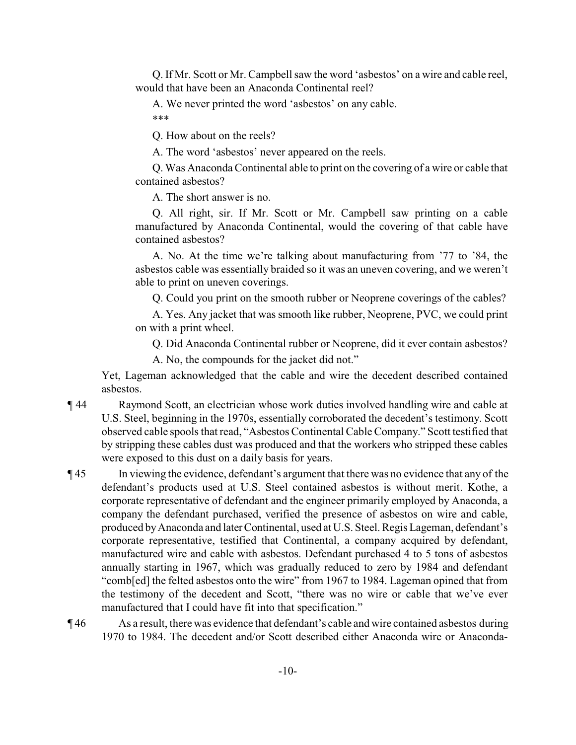Q. If Mr. Scott or Mr. Campbell saw the word 'asbestos' on a wire and cable reel, would that have been an Anaconda Continental reel?

A. We never printed the word 'asbestos' on any cable. \*\*\*

Q. How about on the reels?

A. The word 'asbestos' never appeared on the reels.

Q. Was Anaconda Continental able to print on the covering of a wire or cable that contained asbestos?

A. The short answer is no.

Q. All right, sir. If Mr. Scott or Mr. Campbell saw printing on a cable manufactured by Anaconda Continental, would the covering of that cable have contained asbestos?

A. No. At the time we're talking about manufacturing from '77 to '84, the asbestos cable was essentially braided so it was an uneven covering, and we weren't able to print on uneven coverings.

Q. Could you print on the smooth rubber or Neoprene coverings of the cables?

A. Yes. Any jacket that was smooth like rubber, Neoprene, PVC, we could print on with a print wheel.

Q. Did Anaconda Continental rubber or Neoprene, did it ever contain asbestos?

A. No, the compounds for the jacket did not."

Yet, Lageman acknowledged that the cable and wire the decedent described contained asbestos.

¶ 44 Raymond Scott, an electrician whose work duties involved handling wire and cable at U.S. Steel, beginning in the 1970s, essentially corroborated the decedent's testimony. Scott observed cable spools that read, "Asbestos Continental Cable Company." Scott testified that by stripping these cables dust was produced and that the workers who stripped these cables were exposed to this dust on a daily basis for years.

¶ 45 In viewing the evidence, defendant's argument that there was no evidence that any of the defendant's products used at U.S. Steel contained asbestos is without merit. Kothe, a corporate representative of defendant and the engineer primarily employed by Anaconda, a company the defendant purchased, verified the presence of asbestos on wire and cable, produced by Anaconda and later Continental, used at U.S. Steel. Regis Lageman, defendant's corporate representative, testified that Continental, a company acquired by defendant, manufactured wire and cable with asbestos. Defendant purchased 4 to 5 tons of asbestos annually starting in 1967, which was gradually reduced to zero by 1984 and defendant "comb[ed] the felted asbestos onto the wire" from 1967 to 1984. Lageman opined that from the testimony of the decedent and Scott, "there was no wire or cable that we've ever manufactured that I could have fit into that specification."

¶ 46 As a result, there was evidence that defendant's cable and wire contained asbestos during 1970 to 1984. The decedent and/or Scott described either Anaconda wire or Anaconda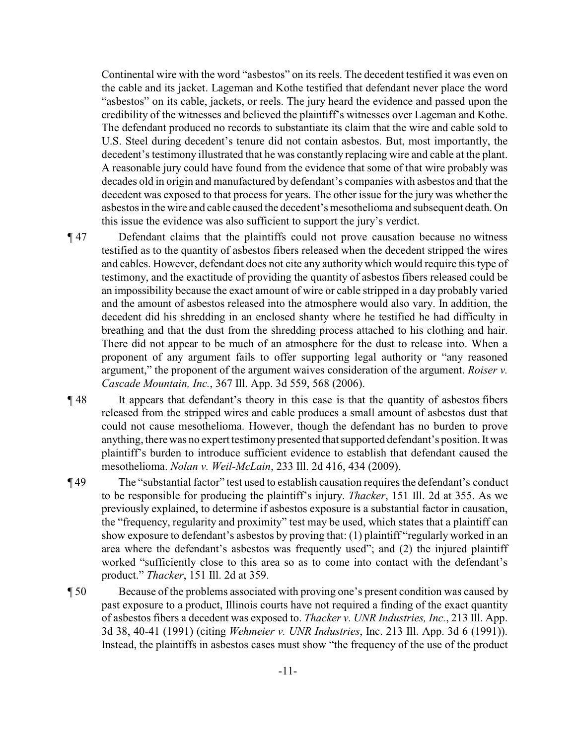Continental wire with the word "asbestos" on its reels. The decedent testified it was even on the cable and its jacket. Lageman and Kothe testified that defendant never place the word "asbestos" on its cable, jackets, or reels. The jury heard the evidence and passed upon the credibility of the witnesses and believed the plaintiff's witnesses over Lageman and Kothe. The defendant produced no records to substantiate its claim that the wire and cable sold to U.S. Steel during decedent's tenure did not contain asbestos. But, most importantly, the decedent's testimony illustrated that he was constantly replacing wire and cable at the plant. A reasonable jury could have found from the evidence that some of that wire probably was decades old in origin and manufactured by defendant's companies with asbestos and that the decedent was exposed to that process for years. The other issue for the jury was whether the asbestos in the wire and cable caused the decedent's mesothelioma and subsequent death. On this issue the evidence was also sufficient to support the jury's verdict.

- ¶ 47 Defendant claims that the plaintiffs could not prove causation because no witness testified as to the quantity of asbestos fibers released when the decedent stripped the wires and cables. However, defendant does not cite any authority which would require this type of testimony, and the exactitude of providing the quantity of asbestos fibers released could be an impossibility because the exact amount of wire or cable stripped in a day probably varied and the amount of asbestos released into the atmosphere would also vary. In addition, the decedent did his shredding in an enclosed shanty where he testified he had difficulty in breathing and that the dust from the shredding process attached to his clothing and hair. There did not appear to be much of an atmosphere for the dust to release into. When a proponent of any argument fails to offer supporting legal authority or "any reasoned argument," the proponent of the argument waives consideration of the argument. *Roiser v. Cascade Mountain, Inc.*, 367 Ill. App. 3d 559, 568 (2006).
- ¶ 48 It appears that defendant's theory in this case is that the quantity of asbestos fibers released from the stripped wires and cable produces a small amount of asbestos dust that could not cause mesothelioma. However, though the defendant has no burden to prove anything, there was no expert testimony presented that supported defendant's position. It was plaintiff's burden to introduce sufficient evidence to establish that defendant caused the mesothelioma. *Nolan v. Weil-McLain*, 233 Ill. 2d 416, 434 (2009).
- ¶ 49 The "substantial factor" test used to establish causation requires the defendant's conduct to be responsible for producing the plaintiff's injury. *Thacker*, 151 Ill. 2d at 355. As we previously explained, to determine if asbestos exposure is a substantial factor in causation, the "frequency, regularity and proximity" test may be used, which states that a plaintiff can show exposure to defendant's asbestos by proving that: (1) plaintiff "regularly worked in an area where the defendant's asbestos was frequently used"; and (2) the injured plaintiff worked "sufficiently close to this area so as to come into contact with the defendant's product." *Thacker*, 151 Ill. 2d at 359.
- ¶ 50 Because of the problems associated with proving one's present condition was caused by past exposure to a product, Illinois courts have not required a finding of the exact quantity of asbestos fibers a decedent was exposed to. *Thacker v. UNR Industries, Inc.*, 213 Ill. App. 3d 38, 40-41 (1991) (citing *Wehmeier v. UNR Industries*, Inc. 213 Ill. App. 3d 6 (1991)). Instead, the plaintiffs in asbestos cases must show "the frequency of the use of the product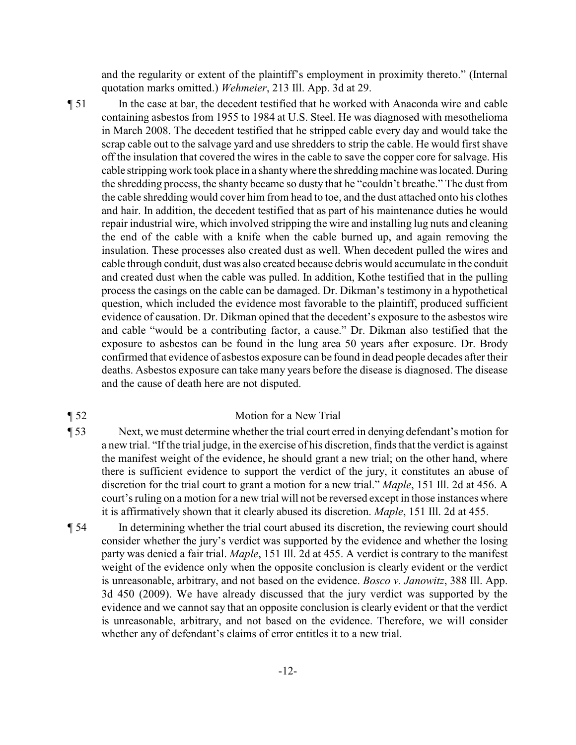and the regularity or extent of the plaintiff's employment in proximity thereto." (Internal quotation marks omitted.) *Wehmeier*, 213 Ill. App. 3d at 29.

¶ 51 In the case at bar, the decedent testified that he worked with Anaconda wire and cable containing asbestos from 1955 to 1984 at U.S. Steel. He was diagnosed with mesothelioma in March 2008. The decedent testified that he stripped cable every day and would take the scrap cable out to the salvage yard and use shredders to strip the cable. He would first shave off the insulation that covered the wires in the cable to save the copper core for salvage. His cable stripping work took place in a shantywhere the shreddingmachine was located. During the shredding process, the shanty became so dusty that he "couldn't breathe." The dust from the cable shredding would cover him from head to toe, and the dust attached onto his clothes and hair. In addition, the decedent testified that as part of his maintenance duties he would repair industrial wire, which involved stripping the wire and installing lug nuts and cleaning the end of the cable with a knife when the cable burned up, and again removing the insulation. These processes also created dust as well. When decedent pulled the wires and cable through conduit, dust was also created because debris would accumulate in the conduit and created dust when the cable was pulled. In addition, Kothe testified that in the pulling process the casings on the cable can be damaged. Dr. Dikman's testimony in a hypothetical question, which included the evidence most favorable to the plaintiff, produced sufficient evidence of causation. Dr. Dikman opined that the decedent's exposure to the asbestos wire and cable "would be a contributing factor, a cause." Dr. Dikman also testified that the exposure to asbestos can be found in the lung area 50 years after exposure. Dr. Brody confirmed that evidence of asbestos exposure can be found in dead people decades after their deaths. Asbestos exposure can take many years before the disease is diagnosed. The disease and the cause of death here are not disputed.

#### ¶ 52 Motion for a New Trial

- ¶ 53 Next, we must determine whether the trial court erred in denying defendant's motion for a new trial. "If the trial judge, in the exercise of his discretion, finds that the verdict is against the manifest weight of the evidence, he should grant a new trial; on the other hand, where there is sufficient evidence to support the verdict of the jury, it constitutes an abuse of discretion for the trial court to grant a motion for a new trial." *Maple*, 151 Ill. 2d at 456. A court's ruling on a motion for a new trial will not be reversed except in those instances where it is affirmatively shown that it clearly abused its discretion. *Maple*, 151 Ill. 2d at 455.
- ¶ 54 In determining whether the trial court abused its discretion, the reviewing court should consider whether the jury's verdict was supported by the evidence and whether the losing party was denied a fair trial. *Maple*, 151 Ill. 2d at 455. A verdict is contrary to the manifest weight of the evidence only when the opposite conclusion is clearly evident or the verdict is unreasonable, arbitrary, and not based on the evidence. *Bosco v. Janowitz*, 388 Ill. App. 3d 450 (2009). We have already discussed that the jury verdict was supported by the evidence and we cannot say that an opposite conclusion is clearly evident or that the verdict is unreasonable, arbitrary, and not based on the evidence. Therefore, we will consider whether any of defendant's claims of error entitles it to a new trial.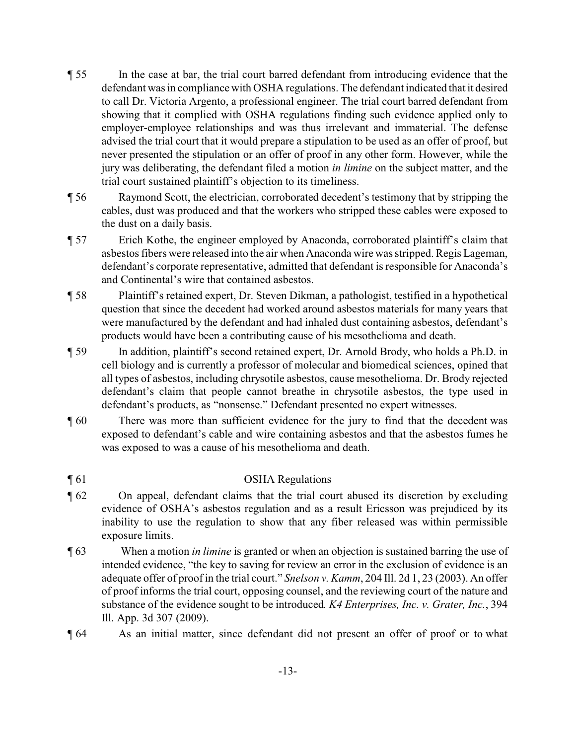- ¶ 55 In the case at bar, the trial court barred defendant from introducing evidence that the defendant was in compliance with OSHA regulations. The defendant indicated that it desired to call Dr. Victoria Argento, a professional engineer. The trial court barred defendant from showing that it complied with OSHA regulations finding such evidence applied only to employer-employee relationships and was thus irrelevant and immaterial. The defense advised the trial court that it would prepare a stipulation to be used as an offer of proof, but never presented the stipulation or an offer of proof in any other form. However, while the jury was deliberating, the defendant filed a motion *in limine* on the subject matter, and the trial court sustained plaintiff's objection to its timeliness.
- ¶ 56 Raymond Scott, the electrician, corroborated decedent's testimony that by stripping the cables, dust was produced and that the workers who stripped these cables were exposed to the dust on a daily basis.
- ¶ 57 Erich Kothe, the engineer employed by Anaconda, corroborated plaintiff's claim that asbestos fibers were released into the air when Anaconda wire was stripped. Regis Lageman, defendant's corporate representative, admitted that defendant is responsible for Anaconda's and Continental's wire that contained asbestos.
- ¶ 58 Plaintiff's retained expert, Dr. Steven Dikman, a pathologist, testified in a hypothetical question that since the decedent had worked around asbestos materials for many years that were manufactured by the defendant and had inhaled dust containing asbestos, defendant's products would have been a contributing cause of his mesothelioma and death.
- ¶ 59 In addition, plaintiff's second retained expert, Dr. Arnold Brody, who holds a Ph.D. in cell biology and is currently a professor of molecular and biomedical sciences, opined that all types of asbestos, including chrysotile asbestos, cause mesothelioma. Dr. Brody rejected defendant's claim that people cannot breathe in chrysotile asbestos, the type used in defendant's products, as "nonsense." Defendant presented no expert witnesses.
- ¶ 60 There was more than sufficient evidence for the jury to find that the decedent was exposed to defendant's cable and wire containing asbestos and that the asbestos fumes he was exposed to was a cause of his mesothelioma and death.

## ¶ 61 OSHA Regulations

- ¶ 62 On appeal, defendant claims that the trial court abused its discretion by excluding evidence of OSHA's asbestos regulation and as a result Ericsson was prejudiced by its inability to use the regulation to show that any fiber released was within permissible exposure limits.
- ¶ 63 When a motion *in limine* is granted or when an objection is sustained barring the use of intended evidence, "the key to saving for review an error in the exclusion of evidence is an adequate offer of proof in the trial court." *Snelson v. Kamm*, 204 Ill. 2d 1, 23 (2003). An offer of proof informs the trial court, opposing counsel, and the reviewing court of the nature and substance of the evidence sought to be introduced*. K4 Enterprises, Inc. v. Grater, Inc.*, 394 Ill. App. 3d 307 (2009).
- ¶ 64 As an initial matter, since defendant did not present an offer of proof or to what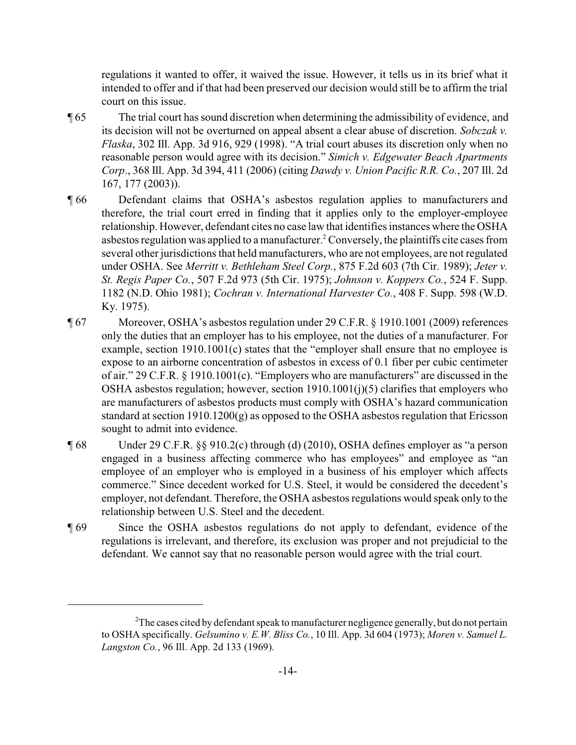regulations it wanted to offer, it waived the issue. However, it tells us in its brief what it intended to offer and if that had been preserved our decision would still be to affirm the trial court on this issue.

- ¶ 65 The trial court has sound discretion when determining the admissibility of evidence, and its decision will not be overturned on appeal absent a clear abuse of discretion. *Sobczak v. Flaska*, 302 Ill. App. 3d 916, 929 (1998). "A trial court abuses its discretion only when no reasonable person would agree with its decision." *Simich v. Edgewater Beach Apartments Corp*., 368 Ill. App. 3d 394, 411 (2006) (citing *Dawdy v. Union Pacific R.R. Co.*, 207 Ill. 2d 167, 177 (2003)).
- ¶ 66 Defendant claims that OSHA's asbestos regulation applies to manufacturers and therefore, the trial court erred in finding that it applies only to the employer-employee relationship. However, defendant cites no case law that identifies instances where the OSHA asbestos regulation was applied to a manufacturer.<sup>2</sup> Conversely, the plaintiffs cite cases from several other jurisdictions that held manufacturers, who are not employees, are not regulated under OSHA. See *Merritt v. Bethleham Steel Corp.*, 875 F.2d 603 (7th Cir. 1989); *Jeter v. St. Regis Paper Co.*, 507 F.2d 973 (5th Cir. 1975); *Johnson v. Koppers Co.*, 524 F. Supp. 1182 (N.D. Ohio 1981); *Cochran v. International Harvester Co.*, 408 F. Supp. 598 (W.D. Ky. 1975).
- ¶ 67 Moreover, OSHA's asbestos regulation under 29 C.F.R. § 1910.1001 (2009) references only the duties that an employer has to his employee, not the duties of a manufacturer. For example, section 1910.1001(c) states that the "employer shall ensure that no employee is expose to an airborne concentration of asbestos in excess of 0.1 fiber per cubic centimeter of air." 29 C.F.R. § 1910.1001(c). "Employers who are manufacturers" are discussed in the OSHA asbestos regulation; however, section 1910.1001(j)(5) clarifies that employers who are manufacturers of asbestos products must comply with OSHA's hazard communication standard at section 1910.1200(g) as opposed to the OSHA asbestos regulation that Ericsson sought to admit into evidence.
- ¶ 68 Under 29 C.F.R. §§ 910.2(c) through (d) (2010), OSHA defines employer as "a person engaged in a business affecting commerce who has employees" and employee as "an employee of an employer who is employed in a business of his employer which affects commerce." Since decedent worked for U.S. Steel, it would be considered the decedent's employer, not defendant. Therefore, the OSHA asbestos regulations would speak only to the relationship between U.S. Steel and the decedent.
- ¶ 69 Since the OSHA asbestos regulations do not apply to defendant, evidence of the regulations is irrelevant, and therefore, its exclusion was proper and not prejudicial to the defendant. We cannot say that no reasonable person would agree with the trial court.

 $2$ The cases cited by defendant speak to manufacturer negligence generally, but do not pertain to OSHA specifically. *Gelsumino v. E.W. Bliss Co.*, 10 Ill. App. 3d 604 (1973); *Moren v. Samuel L. Langston Co.*, 96 Ill. App. 2d 133 (1969).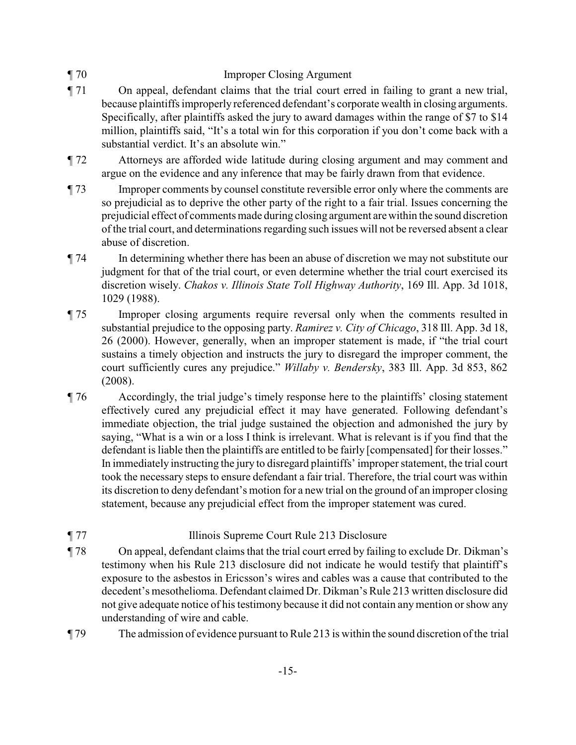## ¶ 70 Improper Closing Argument

- ¶ 71 On appeal, defendant claims that the trial court erred in failing to grant a new trial, because plaintiffs improperly referenced defendant's corporate wealth in closing arguments. Specifically, after plaintiffs asked the jury to award damages within the range of \$7 to \$14 million, plaintiffs said, "It's a total win for this corporation if you don't come back with a substantial verdict. It's an absolute win."
- ¶ 72 Attorneys are afforded wide latitude during closing argument and may comment and argue on the evidence and any inference that may be fairly drawn from that evidence.
- ¶ 73 Improper comments by counsel constitute reversible error only where the comments are so prejudicial as to deprive the other party of the right to a fair trial. Issues concerning the prejudicial effect of comments made during closing argument arewithin the sound discretion of the trial court, and determinations regarding such issues will not be reversed absent a clear abuse of discretion.
- ¶ 74 In determining whether there has been an abuse of discretion we may not substitute our judgment for that of the trial court, or even determine whether the trial court exercised its discretion wisely. *Chakos v. Illinois State Toll Highway Authority*, 169 Ill. App. 3d 1018, 1029 (1988).
- ¶ 75 Improper closing arguments require reversal only when the comments resulted in substantial prejudice to the opposing party. *Ramirez v. City of Chicago*, 318 Ill. App. 3d 18, 26 (2000). However, generally, when an improper statement is made, if "the trial court sustains a timely objection and instructs the jury to disregard the improper comment, the court sufficiently cures any prejudice." *Willaby v. Bendersky*, 383 Ill. App. 3d 853, 862 (2008).
- ¶ 76 Accordingly, the trial judge's timely response here to the plaintiffs' closing statement effectively cured any prejudicial effect it may have generated. Following defendant's immediate objection, the trial judge sustained the objection and admonished the jury by saying, "What is a win or a loss I think is irrelevant. What is relevant is if you find that the defendant is liable then the plaintiffs are entitled to be fairly [compensated] for their losses." In immediately instructing the jury to disregard plaintiffs' improper statement, the trial court took the necessary steps to ensure defendant a fair trial. Therefore, the trial court was within its discretion to deny defendant's motion for a new trial on the ground of an improper closing statement, because any prejudicial effect from the improper statement was cured.

## ¶ 77 Illinois Supreme Court Rule 213 Disclosure

- ¶ 78 On appeal, defendant claims that the trial court erred by failing to exclude Dr. Dikman's testimony when his Rule 213 disclosure did not indicate he would testify that plaintiff's exposure to the asbestos in Ericsson's wires and cables was a cause that contributed to the decedent's mesothelioma. Defendant claimed Dr. Dikman's Rule 213 written disclosure did not give adequate notice of his testimony because it did not contain anymention or show any understanding of wire and cable.
- ¶ 79 The admission of evidence pursuant to Rule 213 is within the sound discretion of the trial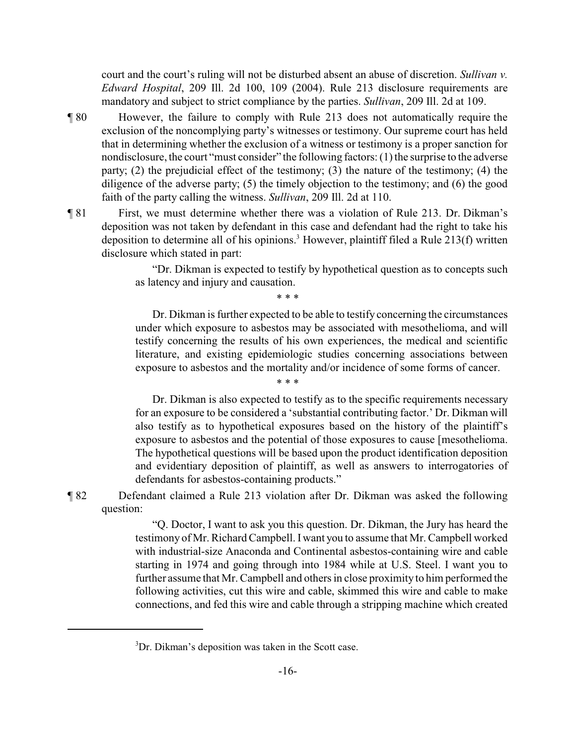court and the court's ruling will not be disturbed absent an abuse of discretion. *Sullivan v. Edward Hospital*, 209 Ill. 2d 100, 109 (2004). Rule 213 disclosure requirements are mandatory and subject to strict compliance by the parties. *Sullivan*, 209 Ill. 2d at 109.

- ¶ 80 However, the failure to comply with Rule 213 does not automatically require the exclusion of the noncomplying party's witnesses or testimony. Our supreme court has held that in determining whether the exclusion of a witness or testimony is a proper sanction for nondisclosure, the court "must consider" the following factors: (1) the surprise to the adverse party; (2) the prejudicial effect of the testimony; (3) the nature of the testimony; (4) the diligence of the adverse party; (5) the timely objection to the testimony; and (6) the good faith of the party calling the witness. *Sullivan*, 209 Ill. 2d at 110.
- ¶ 81 First, we must determine whether there was a violation of Rule 213. Dr. Dikman's deposition was not taken by defendant in this case and defendant had the right to take his deposition to determine all of his opinions.<sup>3</sup> However, plaintiff filed a Rule 213(f) written disclosure which stated in part:

"Dr. Dikman is expected to testify by hypothetical question as to concepts such as latency and injury and causation.

\* \* \*

\* \* \*

Dr. Dikman is further expected to be able to testify concerning the circumstances under which exposure to asbestos may be associated with mesothelioma, and will testify concerning the results of his own experiences, the medical and scientific literature, and existing epidemiologic studies concerning associations between exposure to asbestos and the mortality and/or incidence of some forms of cancer.

Dr. Dikman is also expected to testify as to the specific requirements necessary for an exposure to be considered a 'substantial contributing factor.' Dr. Dikman will also testify as to hypothetical exposures based on the history of the plaintiff's exposure to asbestos and the potential of those exposures to cause [mesothelioma. The hypothetical questions will be based upon the product identification deposition and evidentiary deposition of plaintiff, as well as answers to interrogatories of defendants for asbestos-containing products."

¶ 82 Defendant claimed a Rule 213 violation after Dr. Dikman was asked the following question:

> "Q. Doctor, I want to ask you this question. Dr. Dikman, the Jury has heard the testimony of Mr. Richard Campbell. Iwant you to assume that Mr. Campbell worked with industrial-size Anaconda and Continental asbestos-containing wire and cable starting in 1974 and going through into 1984 while at U.S. Steel. I want you to further assume that Mr. Campbell and others in close proximity to him performed the following activities, cut this wire and cable, skimmed this wire and cable to make connections, and fed this wire and cable through a stripping machine which created

<sup>&</sup>lt;sup>3</sup>Dr. Dikman's deposition was taken in the Scott case.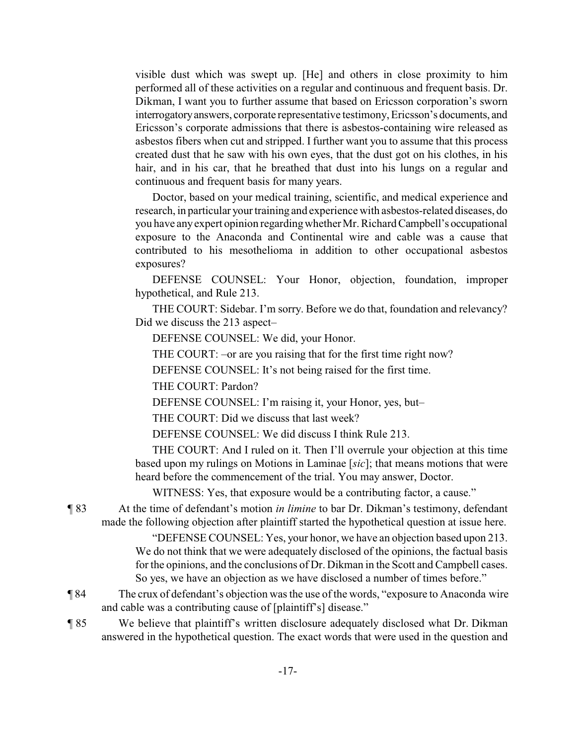visible dust which was swept up. [He] and others in close proximity to him performed all of these activities on a regular and continuous and frequent basis. Dr. Dikman, I want you to further assume that based on Ericsson corporation's sworn interrogatoryanswers, corporate representative testimony, Ericsson's documents, and Ericsson's corporate admissions that there is asbestos-containing wire released as asbestos fibers when cut and stripped. I further want you to assume that this process created dust that he saw with his own eyes, that the dust got on his clothes, in his hair, and in his car, that he breathed that dust into his lungs on a regular and continuous and frequent basis for many years.

Doctor, based on your medical training, scientific, and medical experience and research, in particular your training and experience with asbestos-related diseases, do you have anyexpert opinion regardingwhetherMr. RichardCampbell's occupational exposure to the Anaconda and Continental wire and cable was a cause that contributed to his mesothelioma in addition to other occupational asbestos exposures?

DEFENSE COUNSEL: Your Honor, objection, foundation, improper hypothetical, and Rule 213.

THE COURT: Sidebar. I'm sorry. Before we do that, foundation and relevancy? Did we discuss the 213 aspect–

DEFENSE COUNSEL: We did, your Honor.

THE COURT: –or are you raising that for the first time right now?

DEFENSE COUNSEL: It's not being raised for the first time.

THE COURT: Pardon?

DEFENSE COUNSEL: I'm raising it, your Honor, yes, but–

THE COURT: Did we discuss that last week?

DEFENSE COUNSEL: We did discuss I think Rule 213.

THE COURT: And I ruled on it. Then I'll overrule your objection at this time based upon my rulings on Motions in Laminae [*sic*]; that means motions that were heard before the commencement of the trial. You may answer, Doctor.

WITNESS: Yes, that exposure would be a contributing factor, a cause."

¶ 83 At the time of defendant's motion *in limine* to bar Dr. Dikman's testimony, defendant made the following objection after plaintiff started the hypothetical question at issue here.

> "DEFENSE COUNSEL: Yes, your honor, we have an objection based upon 213. We do not think that we were adequately disclosed of the opinions, the factual basis for the opinions, and the conclusions of Dr. Dikman in the Scott and Campbell cases. So yes, we have an objection as we have disclosed a number of times before."

¶ 84 The crux of defendant's objection was the use of the words, "exposure to Anaconda wire and cable was a contributing cause of [plaintiff's] disease."

¶ 85 We believe that plaintiff's written disclosure adequately disclosed what Dr. Dikman answered in the hypothetical question. The exact words that were used in the question and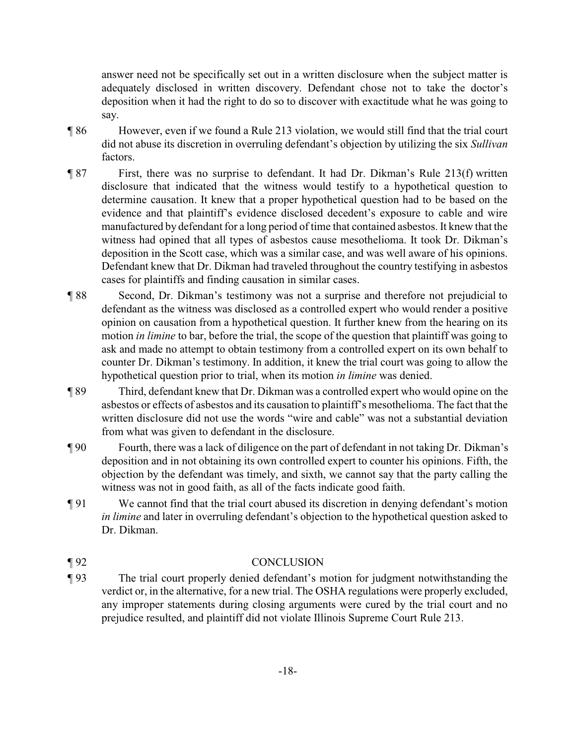answer need not be specifically set out in a written disclosure when the subject matter is adequately disclosed in written discovery. Defendant chose not to take the doctor's deposition when it had the right to do so to discover with exactitude what he was going to say.

- ¶ 86 However, even if we found a Rule 213 violation, we would still find that the trial court did not abuse its discretion in overruling defendant's objection by utilizing the six *Sullivan* factors.
- ¶ 87 First, there was no surprise to defendant. It had Dr. Dikman's Rule 213(f) written disclosure that indicated that the witness would testify to a hypothetical question to determine causation. It knew that a proper hypothetical question had to be based on the evidence and that plaintiff's evidence disclosed decedent's exposure to cable and wire manufactured by defendant for a long period of time that contained asbestos. It knew that the witness had opined that all types of asbestos cause mesothelioma. It took Dr. Dikman's deposition in the Scott case, which was a similar case, and was well aware of his opinions. Defendant knew that Dr. Dikman had traveled throughout the country testifying in asbestos cases for plaintiffs and finding causation in similar cases.
- ¶ 88 Second, Dr. Dikman's testimony was not a surprise and therefore not prejudicial to defendant as the witness was disclosed as a controlled expert who would render a positive opinion on causation from a hypothetical question. It further knew from the hearing on its motion *in limine* to bar, before the trial, the scope of the question that plaintiff was going to ask and made no attempt to obtain testimony from a controlled expert on its own behalf to counter Dr. Dikman's testimony. In addition, it knew the trial court was going to allow the hypothetical question prior to trial, when its motion *in limine* was denied.
- ¶ 89 Third, defendant knew that Dr. Dikman was a controlled expert who would opine on the asbestos or effects of asbestos and its causation to plaintiff's mesothelioma. The fact that the written disclosure did not use the words "wire and cable" was not a substantial deviation from what was given to defendant in the disclosure.
- ¶ 90 Fourth, there was a lack of diligence on the part of defendant in not taking Dr. Dikman's deposition and in not obtaining its own controlled expert to counter his opinions. Fifth, the objection by the defendant was timely, and sixth, we cannot say that the party calling the witness was not in good faith, as all of the facts indicate good faith.
- ¶ 91 We cannot find that the trial court abused its discretion in denying defendant's motion *in limine* and later in overruling defendant's objection to the hypothetical question asked to Dr. Dikman.

## ¶ 92 CONCLUSION

¶ 93 The trial court properly denied defendant's motion for judgment notwithstanding the verdict or, in the alternative, for a new trial. The OSHA regulations were properly excluded, any improper statements during closing arguments were cured by the trial court and no prejudice resulted, and plaintiff did not violate Illinois Supreme Court Rule 213.